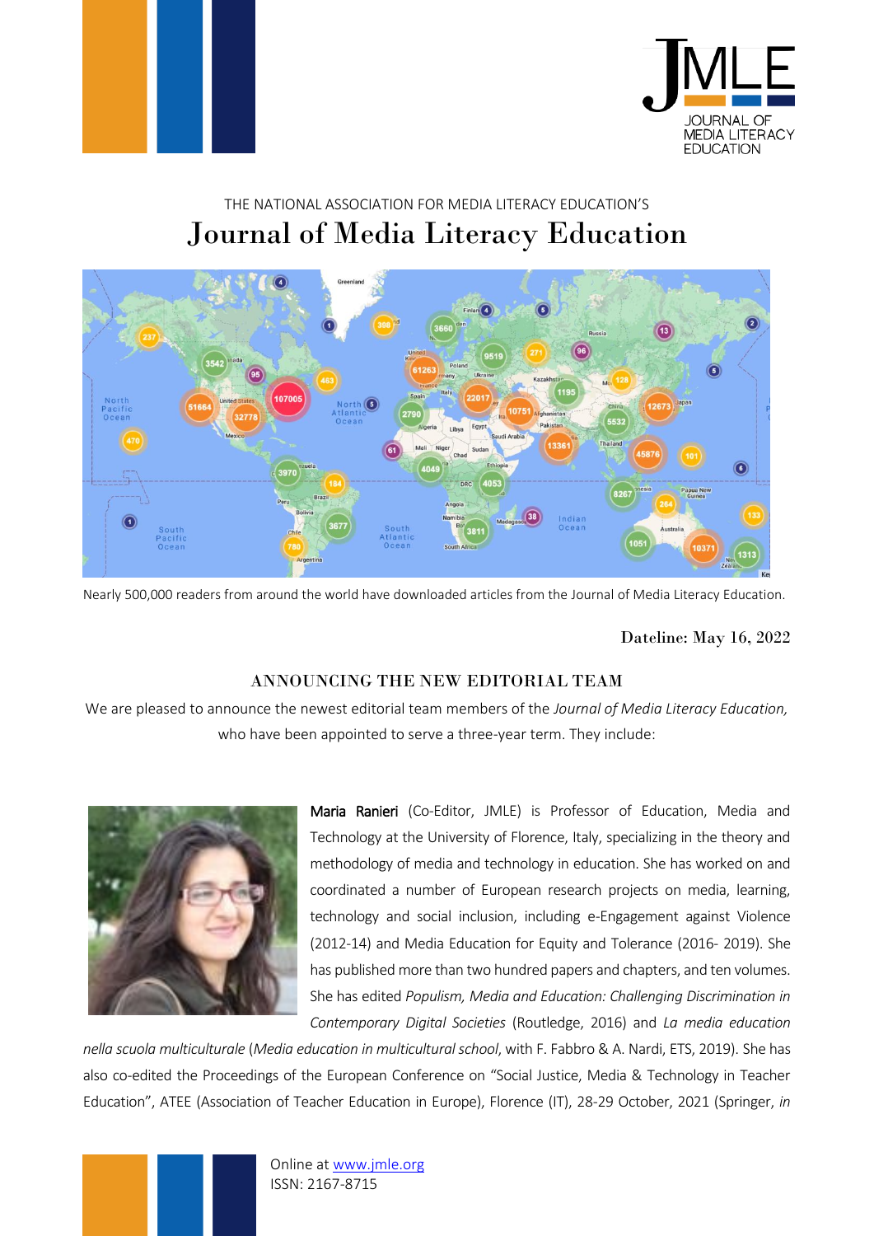



## THE NATIONAL ASSOCIATION FOR MEDIA LITERACY EDUCATION'S Journal of Media Literacy Education



Nearly 500,000 readers from around the world have downloaded articles from the Journal of Media Literacy Education.

Dateline: May 16, 2022

## ANNOUNCING THE NEW EDITORIAL TEAM

We are pleased to announce the newest editorial team members of the *Journal of Media Literacy Education,*  who have been appointed to serve a three-year term. They include:



Maria Ranieri (Co-Editor, JMLE) is Professor of Education, Media and Technology at the University of Florence, Italy, specializing in the theory and methodology of media and technology in education. She has worked on and coordinated a number of European research projects on media, learning, technology and social inclusion, including e-Engagement against Violence (2012-14) and Media Education for Equity and Tolerance (2016- 2019). She has published more than two hundred papers and chapters, and ten volumes. She has edited *Populism, Media and Education: Challenging Discrimination in Contemporary Digital Societies* (Routledge, 2016) and *La media education* 

*nella scuola multiculturale* (*Media education in multicultural school*, with F. Fabbro & A. Nardi, ETS, 2019). She has also co-edited the Proceedings of the European Conference on "Social Justice, Media & Technology in Teacher Education", ATEE (Association of Teacher Education in Europe), Florence (IT), 28-29 October, 2021 (Springer, *in* 

> Online at [www.jmle.org](http://www.jmle.org/) ISSN: 2167-8715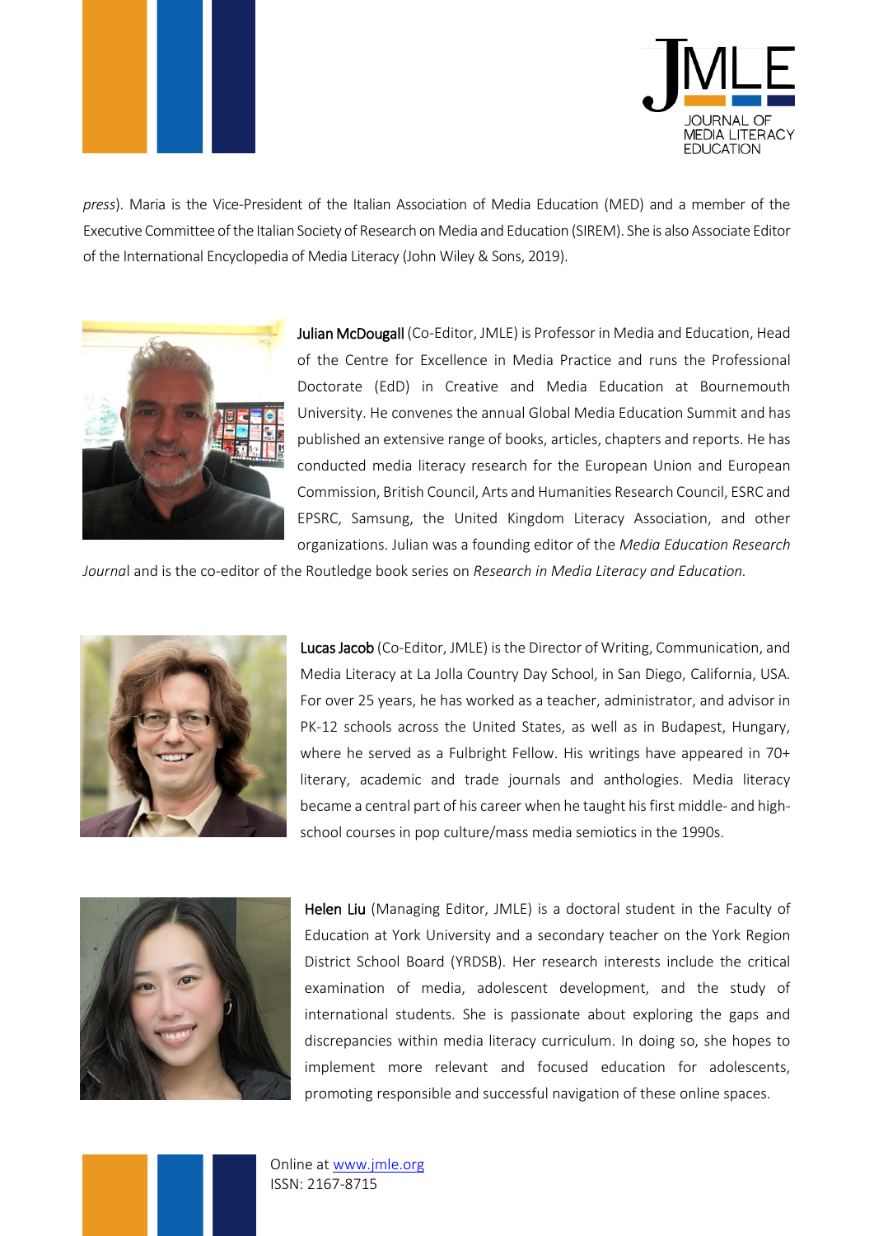



*press*). Maria is the Vice-President of the Italian Association of Media Education (MED) and a member of the Executive Committee of the Italian Society of Research on Media and Education (SIREM). She is also Associate Editor of the International Encyclopedia of Media Literacy (John Wiley & Sons, 2019).



Julian McDougall (Co-Editor, JMLE) is Professor in Media and Education, Head of the Centre for Excellence in Media Practice and runs the Professional Doctorate (EdD) in Creative and Media Education at Bournemouth University. He convenes the annual Global Media Education Summit and has published an extensive range of books, articles, chapters and reports. He has conducted media literacy research for the European Union and European Commission, British Council, Arts and Humanities Research Council, ESRC and EPSRC, Samsung, the United Kingdom Literacy Association, and other organizations. Julian was a founding editor of the *Media Education Research* 

*Journa*l and is the co-editor of the Routledge book series on *Research in Media Literacy and Education.*



Lucas Jacob (Co-Editor, JMLE) is the Director of Writing, Communication, and Media Literacy at La Jolla Country Day School, in San Diego, California, USA. For over 25 years, he has worked as a teacher, administrator, and advisor in PK-12 schools across the United States, as well as in Budapest, Hungary, where he served as a Fulbright Fellow. His writings have appeared in 70+ literary, academic and trade journals and anthologies. Media literacy became a central part of his career when he taught his first middle- and highschool courses in pop culture/mass media semiotics in the 1990s.



Helen Liu (Managing Editor, JMLE) is a doctoral student in the Faculty of Education at York University and a secondary teacher on the York Region District School Board (YRDSB). Her research interests include the critical examination of media, adolescent development, and the study of international students. She is passionate about exploring the gaps and discrepancies within media literacy curriculum. In doing so, she hopes to implement more relevant and focused education for adolescents, promoting responsible and successful navigation of these online spaces.

Online at [www.jmle.org](http://www.jmle.org/) ISSN: 2167-8715